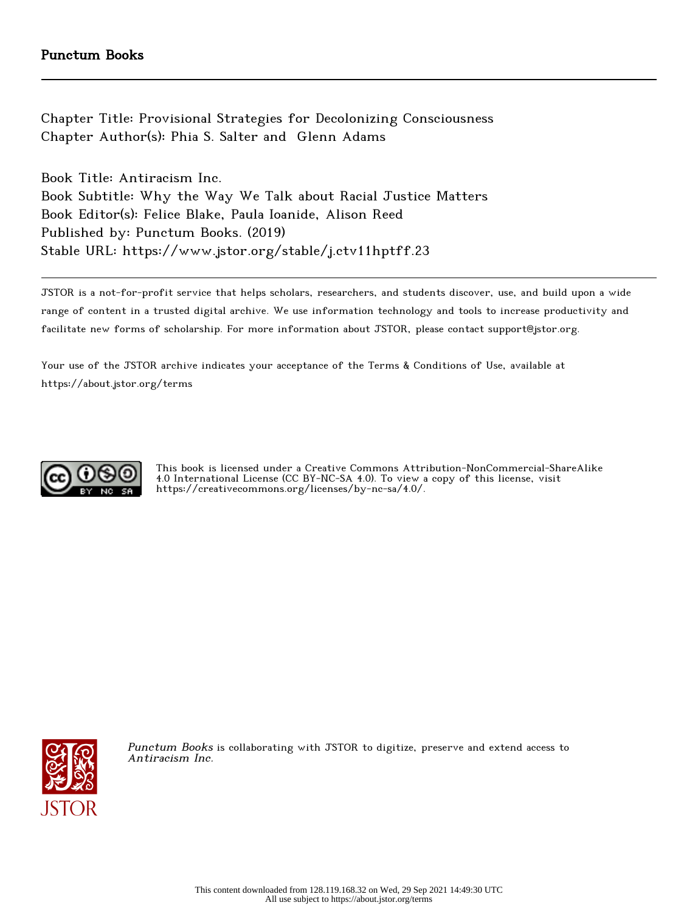Chapter Title: Provisional Strategies for Decolonizing Consciousness Chapter Author(s): Phia S. Salter and Glenn Adams

Book Title: Antiracism Inc. Book Subtitle: Why the Way We Talk about Racial Justice Matters Book Editor(s): Felice Blake, Paula Ioanide, Alison Reed Published by: Punctum Books. (2019) Stable URL: https://www.jstor.org/stable/j.ctv11hptff.23

JSTOR is a not-for-profit service that helps scholars, researchers, and students discover, use, and build upon a wide range of content in a trusted digital archive. We use information technology and tools to increase productivity and facilitate new forms of scholarship. For more information about JSTOR, please contact support@jstor.org.

Your use of the JSTOR archive indicates your acceptance of the Terms & Conditions of Use, available at https://about.jstor.org/terms



This book is licensed under a Creative Commons Attribution-NonCommercial-ShareAlike 4.0 International License (CC BY-NC-SA 4.0). To view a copy of this license, visit https://creativecommons.org/licenses/by-nc-sa/4.0/.



Punctum Books is collaborating with JSTOR to digitize, preserve and extend access to Antiracism Inc.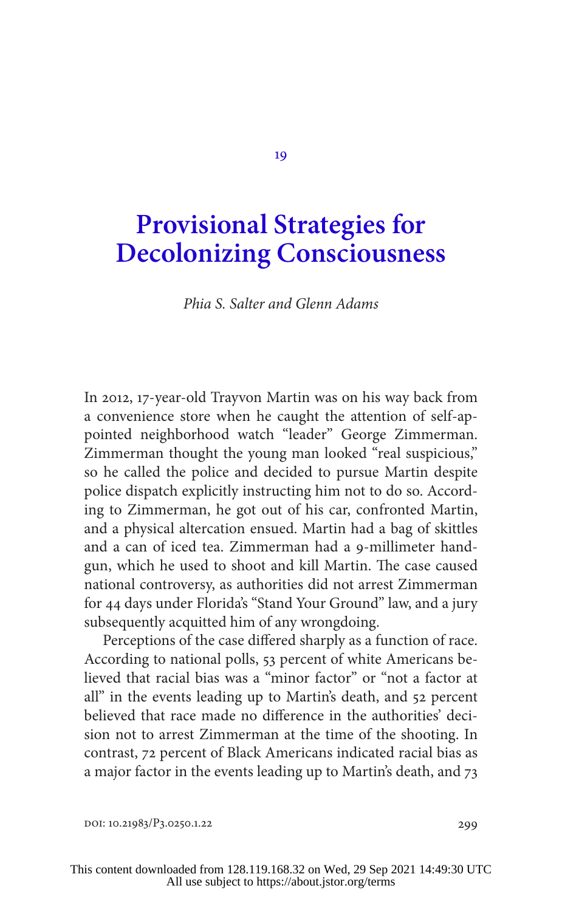# **Provisional Strategies for Decolonizing Consciousness**

*Phia S. Salter and Glenn Adams*

In 2012, 17-year-old Trayvon Martin was on his way back from a convenience store when he caught the attention of self-appointed neighborhood watch "leader" George Zimmerman. Zimmerman thought the young man looked "real suspicious," so he called the police and decided to pursue Martin despite police dispatch explicitly instructing him not to do so. According to Zimmerman, he got out of his car, confronted Martin, and a physical altercation ensued. Martin had a bag of skittles and a can of iced tea. Zimmerman had a 9-millimeter handgun, which he used to shoot and kill Martin. The case caused national controversy, as authorities did not arrest Zimmerman for 44 days under Florida's "Stand Your Ground" law, and a jury subsequently acquitted him of any wrongdoing.

Perceptions of the case differed sharply as a function of race. According to national polls, 53 percent of white Americans believed that racial bias was a "minor factor" or "not a factor at all" in the events leading up to Martin's death, and 52 percent believed that race made no difference in the authorities' decision not to arrest Zimmerman at the time of the shooting. In contrast, 72 percent of Black Americans indicated racial bias as a major factor in the events leading up to Martin's death, and 73

DOI: 10.21983/P3.0250.1.22

299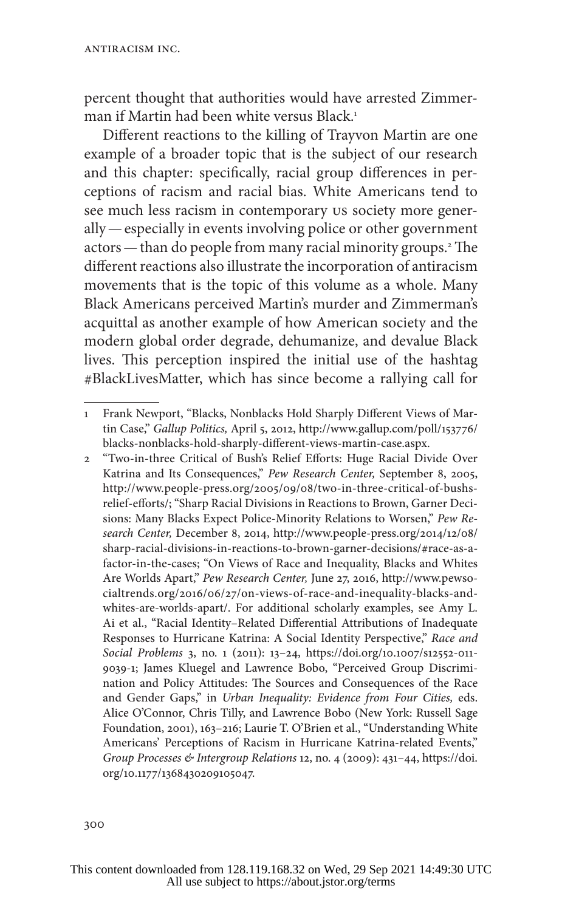percent thought that authorities would have arrested Zimmerman if Martin had been white versus Black.<sup>1</sup>

Different reactions to the killing of Trayvon Martin are one example of a broader topic that is the subject of our research and this chapter: specifically, racial group differences in perceptions of racism and racial bias. White Americans tend to see much less racism in contemporary us society more generally—especially in events involving police or other government actors — than do people from many racial minority groups.<sup>2</sup> The different reactions also illustrate the incorporation of antiracism movements that is the topic of this volume as a whole. Many Black Americans perceived Martin's murder and Zimmerman's acquittal as another example of how American society and the modern global order degrade, dehumanize, and devalue Black lives. This perception inspired the initial use of the hashtag #BlackLivesMatter, which has since become a rallying call for

<sup>1</sup> Frank Newport, "Blacks, Nonblacks Hold Sharply Different Views of Martin Case," *Gallup Politics,* April 5, 2012, http://www.gallup.com/poll/153776/ blacks-nonblacks-hold-sharply-different-views-martin-case.aspx.

<sup>2</sup> "Two-in-three Critical of Bush's Relief Efforts: Huge Racial Divide Over Katrina and Its Consequences," *Pew Research Center,* September 8, 2005, http://www.people-press.org/2005/09/08/two-in-three-critical-of-bushsrelief-efforts/; "Sharp Racial Divisions in Reactions to Brown, Garner Decisions: Many Blacks Expect Police-Minority Relations to Worsen," *Pew Research Center,* December 8, 2014, http://www.people-press.org/2014/12/08/ sharp-racial-divisions-in-reactions-to-brown-garner-decisions/#race-as-afactor-in-the-cases; "On Views of Race and Inequality, Blacks and Whites Are Worlds Apart," *Pew Research Center,* June 27, 2016, http://www.pewsocialtrends.org/2016/06/27/on-views-of-race-and-inequality-blacks-andwhites-are-worlds-apart/. For additional scholarly examples, see Amy L. Ai et al., "Racial Identity–Related Differential Attributions of Inadequate Responses to Hurricane Katrina: A Social Identity Perspective," *Race and Social Problems* 3, no. 1 (2011): 13–24, https://doi.org/10.1007/s12552-011- 9039-1; James Kluegel and Lawrence Bobo, "Perceived Group Discrimination and Policy Attitudes: The Sources and Consequences of the Race and Gender Gaps," in *Urban Inequality: Evidence from Four Cities,* eds. Alice O'Connor, Chris Tilly, and Lawrence Bobo (New York: Russell Sage Foundation, 2001), 163–216; Laurie T. O'Brien et al., "Understanding White Americans' Perceptions of Racism in Hurricane Katrina-related Events," *Group Processes & Intergroup Relations* 12, no. 4 (2009): 431–44, https://doi. org/10.1177/1368430209105047.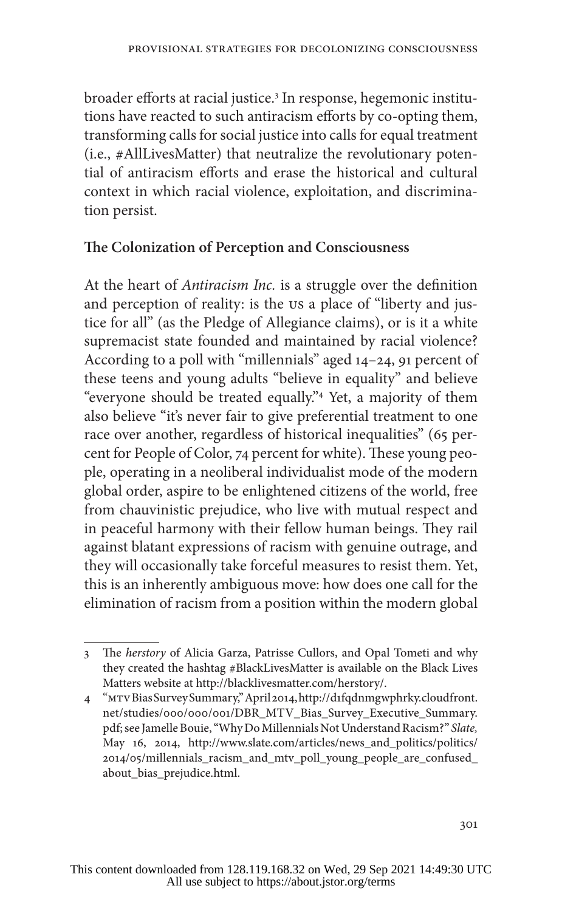broader efforts at racial justice.<sup>3</sup> In response, hegemonic institutions have reacted to such antiracism efforts by co-opting them, transforming calls for social justice into calls for equal treatment (i.e., #AllLivesMatter) that neutralize the revolutionary potential of antiracism efforts and erase the historical and cultural context in which racial violence, exploitation, and discrimination persist.

### **The Colonization of Perception and Consciousness**

At the heart of *Antiracism Inc.* is a struggle over the definition and perception of reality: is the US a place of "liberty and justice for all" (as the Pledge of Allegiance claims), or is it a white supremacist state founded and maintained by racial violence? According to a poll with "millennials" aged 14–24, 91 percent of these teens and young adults "believe in equality" and believe "everyone should be treated equally."4 Yet, a majority of them also believe "it's never fair to give preferential treatment to one race over another, regardless of historical inequalities" (65 percent for People of Color, 74 percent for white). These young people, operating in a neoliberal individualist mode of the modern global order, aspire to be enlightened citizens of the world, free from chauvinistic prejudice, who live with mutual respect and in peaceful harmony with their fellow human beings. They rail against blatant expressions of racism with genuine outrage, and they will occasionally take forceful measures to resist them. Yet, this is an inherently ambiguous move: how does one call for the elimination of racism from a position within the modern global

<sup>3</sup> The *herstory* of Alicia Garza, Patrisse Cullors, and Opal Tometi and why they created the hashtag #BlackLivesMatter is available on the Black Lives Matters website at http://blacklivesmatter.com/herstory/.

<sup>4</sup> "MTV Bias Survey Summary," April 2014, http://d1fqdnmgwphrky.cloudfront. net/studies/000/000/001/DBR\_MTV\_Bias\_Survey\_Executive\_Summary. pdf; see Jamelle Bouie, "Why Do Millennials Not Understand Racism?" *Slate,* May 16, 2014, http://www.slate.com/articles/news\_and\_politics/politics/ 2014/05/millennials\_racism\_and\_mtv\_poll\_young\_people\_are\_confused about\_bias\_prejudice.html.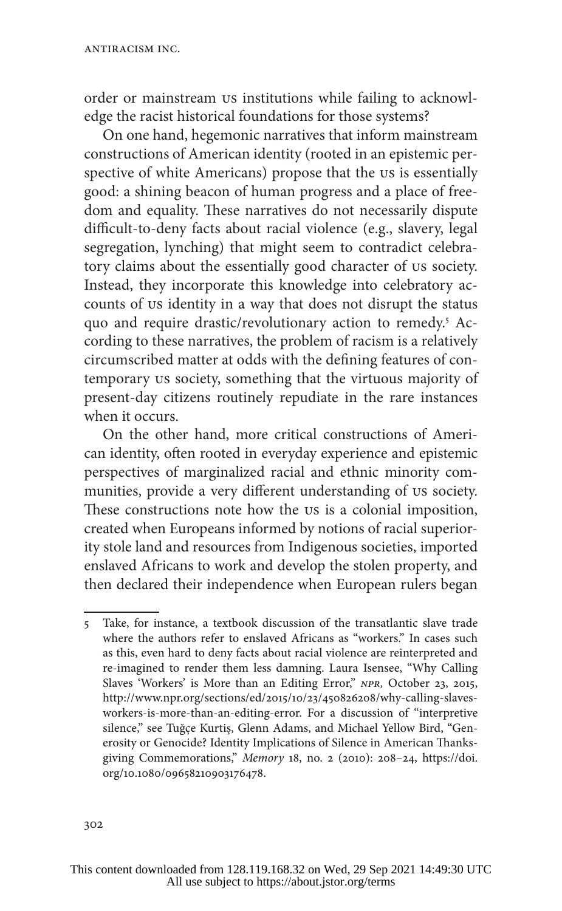order or mainstream US institutions while failing to acknowledge the racist historical foundations for those systems?

On one hand, hegemonic narratives that inform mainstream constructions of American identity (rooted in an epistemic perspective of white Americans) propose that the US is essentially good: a shining beacon of human progress and a place of freedom and equality. These narratives do not necessarily dispute difficult-to-deny facts about racial violence (e.g., slavery, legal segregation, lynching) that might seem to contradict celebratory claims about the essentially good character of us society. Instead, they incorporate this knowledge into celebratory accounts of US identity in a way that does not disrupt the status quo and require drastic/revolutionary action to remedy.<sup>5</sup> According to these narratives, the problem of racism is a relatively circumscribed matter at odds with the defining features of contemporary US society, something that the virtuous majority of present-day citizens routinely repudiate in the rare instances when it occurs.

On the other hand, more critical constructions of American identity, often rooted in everyday experience and epistemic perspectives of marginalized racial and ethnic minority communities, provide a very different understanding of us society. These constructions note how the US is a colonial imposition, created when Europeans informed by notions of racial superiority stole land and resources from Indigenous societies, imported enslaved Africans to work and develop the stolen property, and then declared their independence when European rulers began

<sup>5</sup> Take, for instance, a textbook discussion of the transatlantic slave trade where the authors refer to enslaved Africans as "workers." In cases such as this, even hard to deny facts about racial violence are reinterpreted and re-imagined to render them less damning. Laura Isensee, "Why Calling Slaves 'Workers' is More than an Editing Error," *NPR,* October 23, 2015, http://www.npr.org/sections/ed/2015/10/23/450826208/why-calling-slavesworkers-is-more-than-an-editing-error. For a discussion of "interpretive silence," see Tuğçe Kurtiş, Glenn Adams, and Michael Yellow Bird, "Generosity or Genocide? Identity Implications of Silence in American Thanksgiving Commemorations," *Memory* 18, no. 2 (2010): 208–24, https://doi. org/10.1080/09658210903176478.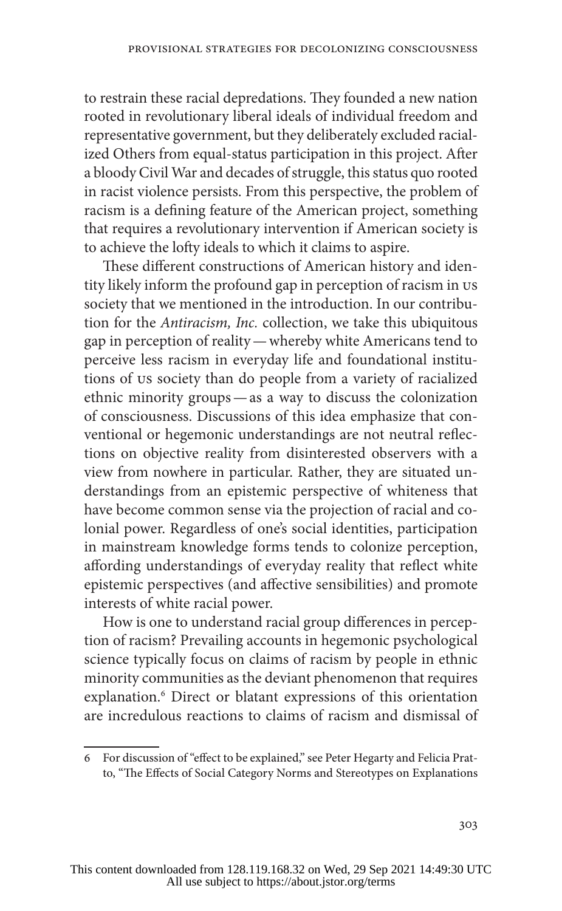to restrain these racial depredations. They founded a new nation rooted in revolutionary liberal ideals of individual freedom and representative government, but they deliberately excluded racialized Others from equal-status participation in this project. After a bloody Civil War and decades of struggle, this status quo rooted in racist violence persists. From this perspective, the problem of racism is a defining feature of the American project, something that requires a revolutionary intervention if American society is to achieve the lofty ideals to which it claims to aspire.

These different constructions of American history and identity likely inform the profound gap in perception of racism in US society that we mentioned in the introduction. In our contribution for the *Antiracism, Inc.* collection, we take this ubiquitous gap in perception of reality—whereby white Americans tend to perceive less racism in everyday life and foundational institutions of US society than do people from a variety of racialized ethnic minority groups—as a way to discuss the colonization of consciousness. Discussions of this idea emphasize that conventional or hegemonic understandings are not neutral reflections on objective reality from disinterested observers with a view from nowhere in particular. Rather, they are situated understandings from an epistemic perspective of whiteness that have become common sense via the projection of racial and colonial power. Regardless of one's social identities, participation in mainstream knowledge forms tends to colonize perception, affording understandings of everyday reality that reflect white epistemic perspectives (and affective sensibilities) and promote interests of white racial power.

How is one to understand racial group differences in perception of racism? Prevailing accounts in hegemonic psychological science typically focus on claims of racism by people in ethnic minority communities as the deviant phenomenon that requires explanation.<sup>6</sup> Direct or blatant expressions of this orientation are incredulous reactions to claims of racism and dismissal of

<sup>6</sup> For discussion of "effect to be explained," see Peter Hegarty and Felicia Pratto, "The Effects of Social Category Norms and Stereotypes on Explanations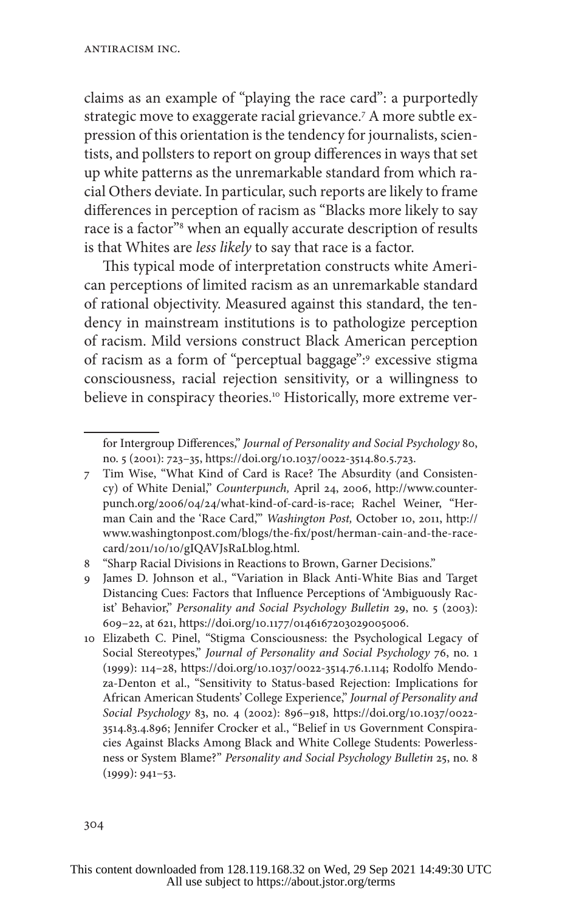claims as an example of "playing the race card": a purportedly strategic move to exaggerate racial grievance.<sup>7</sup> A more subtle expression of this orientation is the tendency for journalists, scientists, and pollsters to report on group differences in ways that set up white patterns as the unremarkable standard from which racial Others deviate. In particular, such reports are likely to frame differences in perception of racism as "Blacks more likely to say race is a factor<sup>38</sup> when an equally accurate description of results is that Whites are *less likely* to say that race is a factor.

This typical mode of interpretation constructs white American perceptions of limited racism as an unremarkable standard of rational objectivity. Measured against this standard, the tendency in mainstream institutions is to pathologize perception of racism. Mild versions construct Black American perception of racism as a form of "perceptual baggage":9 excessive stigma consciousness, racial rejection sensitivity, or a willingness to believe in conspiracy theories.<sup>10</sup> Historically, more extreme ver-

for Intergroup Differences," *Journal of Personality and Social Psychology* 80, no. 5 (2001): 723–35, https://doi.org/10.1037/0022-3514.80.5.723.

<sup>7</sup> Tim Wise, "What Kind of Card is Race? The Absurdity (and Consistency) of White Denial," *Counterpunch,* April 24, 2006, http://www.counterpunch.org/2006/04/24/what-kind-of-card-is-race; Rachel Weiner, "Herman Cain and the 'Race Card,'" *Washington Post,* October 10, 2011, http:// www.washingtonpost.com/blogs/the-fix/post/herman-cain-and-the-racecard/2011/10/10/gIQAVJsRaLblog.html.

<sup>8</sup> "Sharp Racial Divisions in Reactions to Brown, Garner Decisions."

<sup>9</sup> James D. Johnson et al., "Variation in Black Anti-White Bias and Target Distancing Cues: Factors that Influence Perceptions of 'Ambiguously Racist' Behavior," *Personality and Social Psychology Bulletin* 29, no. 5 (2003): 609–22, at 621, https://doi.org/10.1177/0146167203029005006.

<sup>10</sup> Elizabeth C. Pinel, "Stigma Consciousness: the Psychological Legacy of Social Stereotypes," *Journal of Personality and Social Psychology* 76, no. 1 (1999): 114–28, https://doi.org/10.1037/0022-3514.76.1.114; Rodolfo Mendoza-Denton et al., "Sensitivity to Status-based Rejection: Implications for African American Students' College Experience," *Journal of Personality and Social Psychology* 83, no. 4 (2002): 896–918, https://doi.org/10.1037/0022- 3514.83.4.896; Jennifer Crocker et al., "Belief in US Government Conspiracies Against Blacks Among Black and White College Students: Powerlessness or System Blame?" *Personality and Social Psychology Bulletin* 25, no. 8 (1999): 941–53.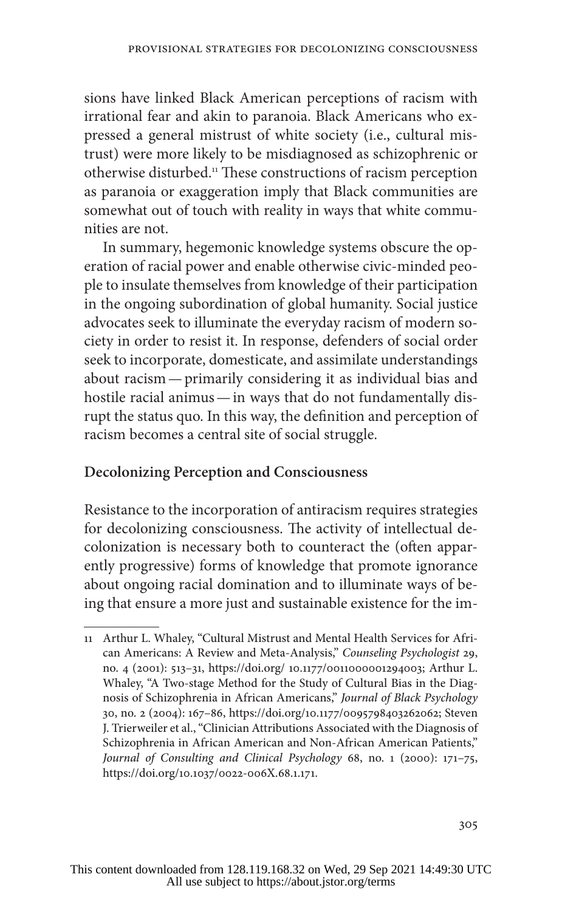sions have linked Black American perceptions of racism with irrational fear and akin to paranoia. Black Americans who expressed a general mistrust of white society (i.e., cultural mistrust) were more likely to be misdiagnosed as schizophrenic or otherwise disturbed.11 These constructions of racism perception as paranoia or exaggeration imply that Black communities are somewhat out of touch with reality in ways that white communities are not.

In summary, hegemonic knowledge systems obscure the operation of racial power and enable otherwise civic-minded people to insulate themselves from knowledge of their participation in the ongoing subordination of global humanity. Social justice advocates seek to illuminate the everyday racism of modern society in order to resist it. In response, defenders of social order seek to incorporate, domesticate, and assimilate understandings about racism—primarily considering it as individual bias and hostile racial animus—in ways that do not fundamentally disrupt the status quo. In this way, the definition and perception of racism becomes a central site of social struggle.

#### **Decolonizing Perception and Consciousness**

Resistance to the incorporation of antiracism requires strategies for decolonizing consciousness. The activity of intellectual decolonization is necessary both to counteract the (often apparently progressive) forms of knowledge that promote ignorance about ongoing racial domination and to illuminate ways of being that ensure a more just and sustainable existence for the im-

<sup>11</sup> Arthur L. Whaley, "Cultural Mistrust and Mental Health Services for African Americans: A Review and Meta-Analysis," *Counseling Psychologist* 29, no. 4 (2001): 513–31, https://doi.org/ 10.1177/0011000001294003; Arthur L. Whaley, "A Two-stage Method for the Study of Cultural Bias in the Diagnosis of Schizophrenia in African Americans," *Journal of Black Psychology*  30, no. 2 (2004): 167–86, https://doi.org/10.1177/0095798403262062; Steven J. Trierweiler et al., "Clinician Attributions Associated with the Diagnosis of Schizophrenia in African American and Non-African American Patients," *Journal of Consulting and Clinical Psychology* 68, no. 1 (2000): 171–75, https://doi.org/10.1037/0022-006X.68.1.171.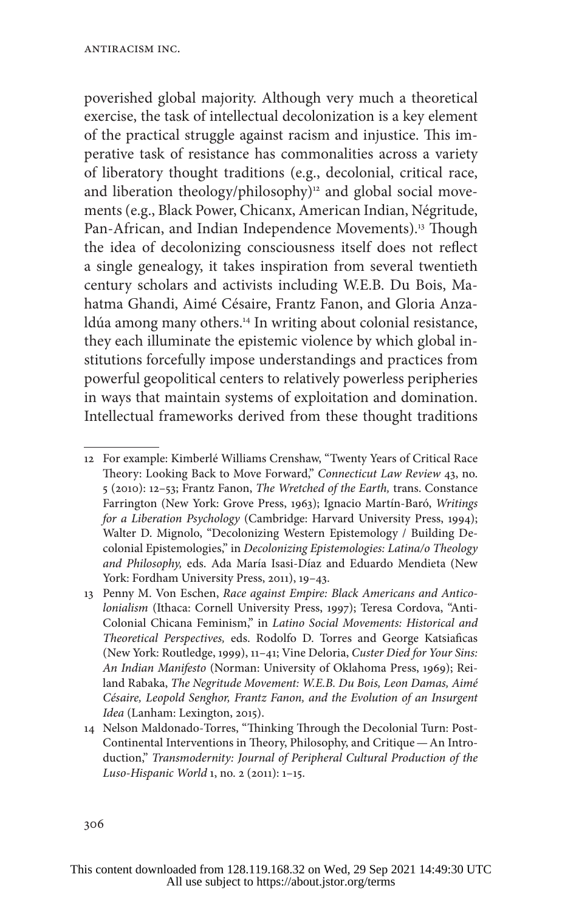poverished global majority. Although very much a theoretical exercise, the task of intellectual decolonization is a key element of the practical struggle against racism and injustice. This imperative task of resistance has commonalities across a variety of liberatory thought traditions (e.g., decolonial, critical race, and liberation theology/philosophy)<sup>12</sup> and global social movements (e.g., Black Power, Chicanx, American Indian, Négritude, Pan-African, and Indian Independence Movements).<sup>13</sup> Though the idea of decolonizing consciousness itself does not reflect a single genealogy, it takes inspiration from several twentieth century scholars and activists including W.E.B. Du Bois, Mahatma Ghandi, Aimé Césaire, Frantz Fanon, and Gloria Anzaldúa among many others.14 In writing about colonial resistance, they each illuminate the epistemic violence by which global institutions forcefully impose understandings and practices from powerful geopolitical centers to relatively powerless peripheries in ways that maintain systems of exploitation and domination. Intellectual frameworks derived from these thought traditions

<sup>12</sup> For example: Kimberlé Williams Crenshaw, "Twenty Years of Critical Race Theory: Looking Back to Move Forward," *Connecticut Law Review* 43, no. 5 (2010): 12–53; Frantz Fanon, *The Wretched of the Earth,* trans. Constance Farrington (New York: Grove Press, 1963); Ignacio Martín-Baró, *Writings for a Liberation Psychology* (Cambridge: Harvard University Press, 1994); Walter D. Mignolo, "Decolonizing Western Epistemology / Building Decolonial Epistemologies," in *Decolonizing Epistemologies: Latina/o Theology and Philosophy,* eds. Ada María Isasi-Díaz and Eduardo Mendieta (New York: Fordham University Press, 2011), 19–43.

<sup>13</sup> Penny M. Von Eschen, *Race against Empire: Black Americans and Anticolonialism* (Ithaca: Cornell University Press, 1997); Teresa Cordova, "Anti-Colonial Chicana Feminism," in *Latino Social Movements: Historical and Theoretical Perspectives,* eds. Rodolfo D. Torres and George Katsiaficas (New York: Routledge, 1999), 11–41; Vine Deloria, *Custer Died for Your Sins: An Indian Manifesto* (Norman: University of Oklahoma Press, 1969); Reiland Rabaka, *The Negritude Movement: W.E.B. Du Bois, Leon Damas, Aimé Césaire, Leopold Senghor, Frantz Fanon, and the Evolution of an Insurgent Idea* (Lanham: Lexington, 2015).

<sup>14</sup> Nelson Maldonado-Torres, "Thinking Through the Decolonial Turn: Post-Continental Interventions in Theory, Philosophy, and Critique—An Introduction," *Transmodernity: Journal of Peripheral Cultural Production of the Luso-Hispanic World* 1, no. 2 (2011): 1–15.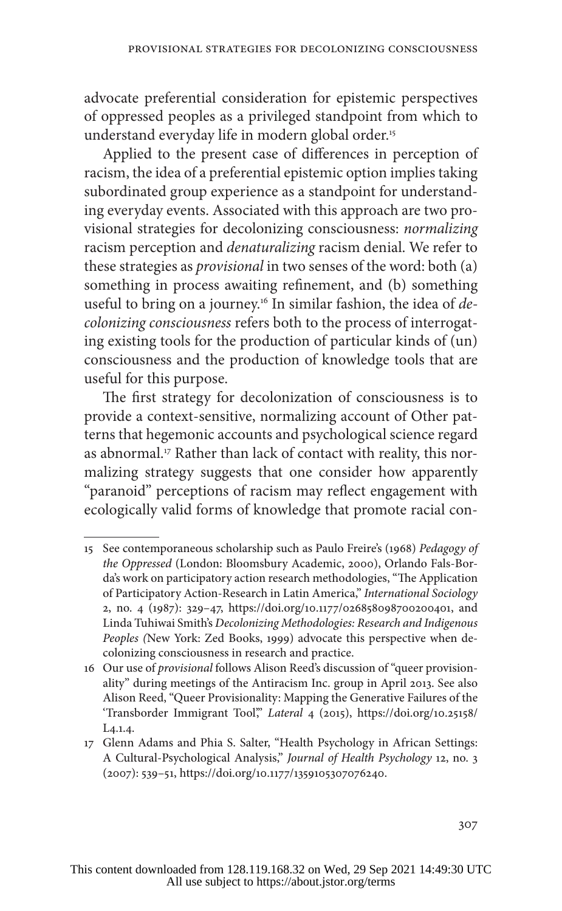advocate preferential consideration for epistemic perspectives of oppressed peoples as a privileged standpoint from which to understand everyday life in modern global order.<sup>15</sup>

Applied to the present case of differences in perception of racism, the idea of a preferential epistemic option implies taking subordinated group experience as a standpoint for understanding everyday events. Associated with this approach are two provisional strategies for decolonizing consciousness: *normalizing* racism perception and *denaturalizing* racism denial. We refer to these strategies as *provisional* in two senses of the word: both (a) something in process awaiting refinement, and (b) something useful to bring on a journey.16 In similar fashion, the idea of *decolonizing consciousness* refers both to the process of interrogating existing tools for the production of particular kinds of (un) consciousness and the production of knowledge tools that are useful for this purpose.

The first strategy for decolonization of consciousness is to provide a context-sensitive, normalizing account of Other patterns that hegemonic accounts and psychological science regard as abnormal.<sup>17</sup> Rather than lack of contact with reality, this normalizing strategy suggests that one consider how apparently "paranoid" perceptions of racism may reflect engagement with ecologically valid forms of knowledge that promote racial con-

<sup>15</sup> See contemporaneous scholarship such as Paulo Freire's (1968) *Pedagogy of the Oppressed* (London: Bloomsbury Academic, 2000), Orlando Fals-Borda's work on participatory action research methodologies, "The Application of Participatory Action-Research in Latin America," *International Sociology* 2, no. 4 (1987): 329–47, https://doi.org/10.1177/026858098700200401, and Linda Tuhiwai Smith's *Decolonizing Methodologies: Research and Indigenous Peoples (*New York: Zed Books, 1999) advocate this perspective when decolonizing consciousness in research and practice.

<sup>16</sup> Our use of *provisional* follows Alison Reed's discussion of "queer provisionality" during meetings of the Antiracism Inc. group in April 2013. See also Alison Reed, "Queer Provisionality: Mapping the Generative Failures of the 'Transborder Immigrant Tool", *Lateral* 4 (2015), https://doi.org/10.25158/ L4.1.4.

<sup>17</sup> Glenn Adams and Phia S. Salter, "Health Psychology in African Settings: A Cultural-Psychological Analysis," *Journal of Health Psychology* 12, no. 3 (2007): 539–51, https://doi.org/10.1177/1359105307076240.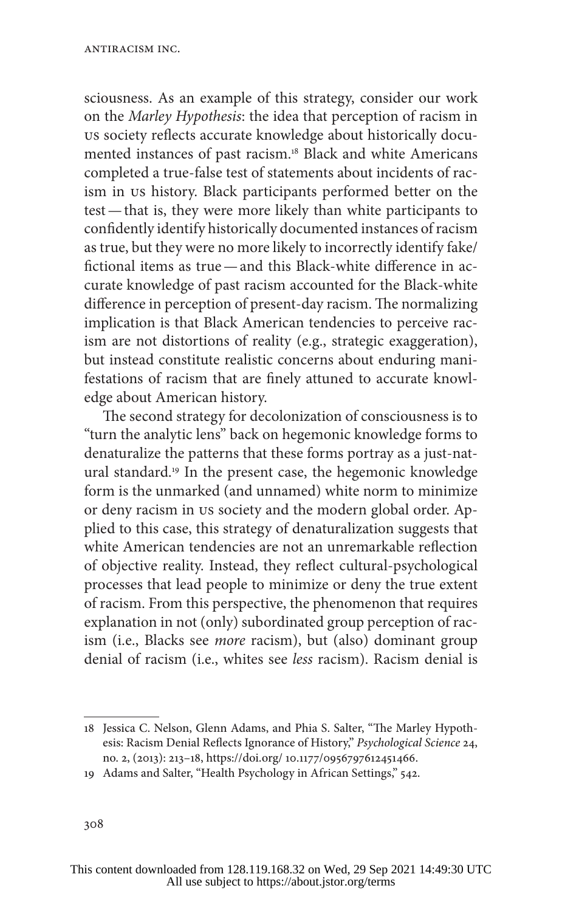sciousness. As an example of this strategy, consider our work on the *Marley Hypothesis*: the idea that perception of racism in US society reflects accurate knowledge about historically documented instances of past racism.18 Black and white Americans completed a true-false test of statements about incidents of racism in US history. Black participants performed better on the test—that is, they were more likely than white participants to confidently identify historically documented instances of racism as true, but they were no more likely to incorrectly identify fake/ fictional items as true—and this Black-white difference in accurate knowledge of past racism accounted for the Black-white difference in perception of present-day racism. The normalizing implication is that Black American tendencies to perceive racism are not distortions of reality (e.g., strategic exaggeration), but instead constitute realistic concerns about enduring manifestations of racism that are finely attuned to accurate knowledge about American history.

The second strategy for decolonization of consciousness is to "turn the analytic lens" back on hegemonic knowledge forms to denaturalize the patterns that these forms portray as a just-natural standard.19 In the present case, the hegemonic knowledge form is the unmarked (and unnamed) white norm to minimize or deny racism in US society and the modern global order. Applied to this case, this strategy of denaturalization suggests that white American tendencies are not an unremarkable reflection of objective reality. Instead, they reflect cultural-psychological processes that lead people to minimize or deny the true extent of racism. From this perspective, the phenomenon that requires explanation in not (only) subordinated group perception of racism (i.e., Blacks see *more* racism), but (also) dominant group denial of racism (i.e., whites see *less* racism). Racism denial is

<sup>18</sup> Jessica C. Nelson, Glenn Adams, and Phia S. Salter, "The Marley Hypothesis: Racism Denial Reflects Ignorance of History," *Psychological Science* 24, no. 2, (2013): 213–18, https://doi.org/ 10.1177/0956797612451466.

<sup>19</sup> Adams and Salter, "Health Psychology in African Settings," 542.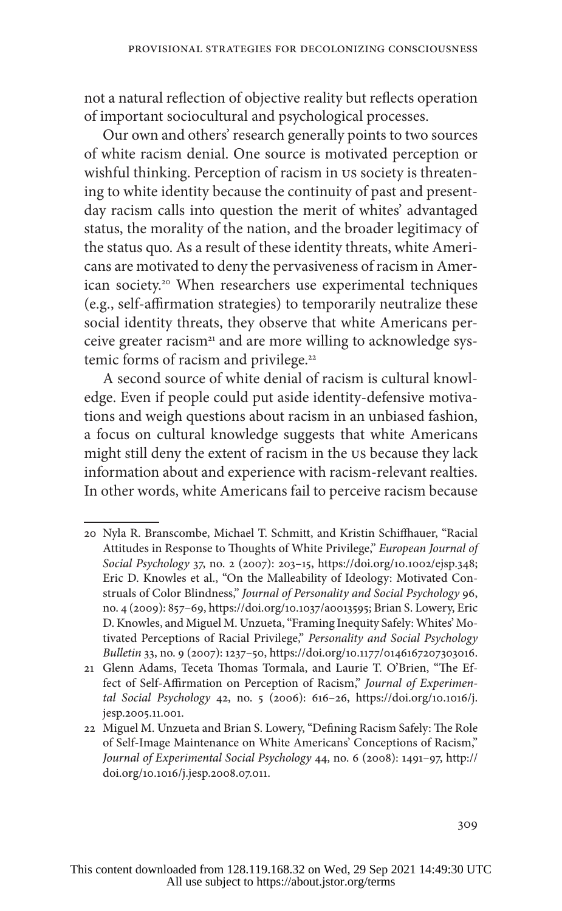not a natural reflection of objective reality but reflects operation of important sociocultural and psychological processes.

Our own and others' research generally points to two sources of white racism denial. One source is motivated perception or wishful thinking. Perception of racism in US society is threatening to white identity because the continuity of past and presentday racism calls into question the merit of whites' advantaged status, the morality of the nation, and the broader legitimacy of the status quo. As a result of these identity threats, white Americans are motivated to deny the pervasiveness of racism in American society.<sup>20</sup> When researchers use experimental techniques (e.g., self-affirmation strategies) to temporarily neutralize these social identity threats, they observe that white Americans perceive greater racism<sup>21</sup> and are more willing to acknowledge systemic forms of racism and privilege.<sup>22</sup>

A second source of white denial of racism is cultural knowledge. Even if people could put aside identity-defensive motivations and weigh questions about racism in an unbiased fashion, a focus on cultural knowledge suggests that white Americans might still deny the extent of racism in the us because they lack information about and experience with racism-relevant realties. In other words, white Americans fail to perceive racism because

<sup>20</sup> Nyla R. Branscombe, Michael T. Schmitt, and Kristin Schiffhauer, "Racial Attitudes in Response to Thoughts of White Privilege," *European Journal of Social Psychology* 37, no. 2 (2007): 203–15, https://doi.org/10.1002/ejsp.348; Eric D. Knowles et al., "On the Malleability of Ideology: Motivated Construals of Color Blindness," *Journal of Personality and Social Psychology* 96, no. 4 (2009): 857–69, https://doi.org/10.1037/a0013595; Brian S. Lowery, Eric D. Knowles, and Miguel M. Unzueta, "Framing Inequity Safely: Whites' Motivated Perceptions of Racial Privilege," *Personality and Social Psychology Bulletin* 33, no. 9 (2007): 1237–50, https://doi.org/10.1177/0146167207303016.

<sup>21</sup> Glenn Adams, Teceta Thomas Tormala, and Laurie T. O'Brien, "The Effect of Self-Affirmation on Perception of Racism," *Journal of Experimental Social Psychology* 42, no. 5 (2006): 616–26, https://doi.org/10.1016/j. jesp.2005.11.001.

<sup>22</sup> Miguel M. Unzueta and Brian S. Lowery, "Defining Racism Safely: The Role of Self-Image Maintenance on White Americans' Conceptions of Racism," *Journal of Experimental Social Psychology* 44, no. 6 (2008): 1491–97, http:// doi.org/10.1016/j.jesp.2008.07.011.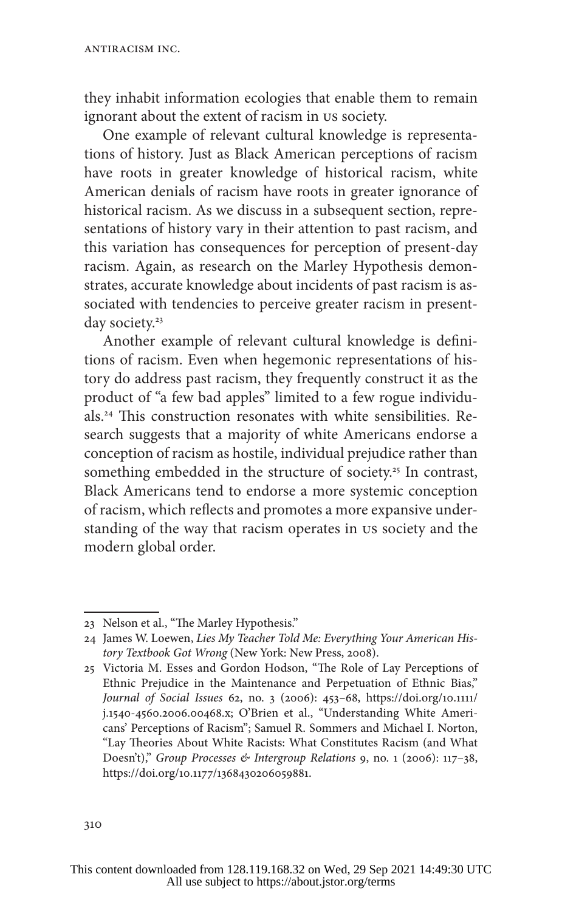they inhabit information ecologies that enable them to remain ignorant about the extent of racism in US society.

One example of relevant cultural knowledge is representations of history. Just as Black American perceptions of racism have roots in greater knowledge of historical racism, white American denials of racism have roots in greater ignorance of historical racism. As we discuss in a subsequent section, representations of history vary in their attention to past racism, and this variation has consequences for perception of present-day racism. Again, as research on the Marley Hypothesis demonstrates, accurate knowledge about incidents of past racism is associated with tendencies to perceive greater racism in presentday society.<sup>23</sup>

Another example of relevant cultural knowledge is definitions of racism. Even when hegemonic representations of history do address past racism, they frequently construct it as the product of "a few bad apples" limited to a few rogue individuals.24 This construction resonates with white sensibilities. Research suggests that a majority of white Americans endorse a conception of racism as hostile, individual prejudice rather than something embedded in the structure of society.<sup>25</sup> In contrast, Black Americans tend to endorse a more systemic conception of racism, which reflects and promotes a more expansive understanding of the way that racism operates in US society and the modern global order.

<sup>23</sup> Nelson et al., "The Marley Hypothesis."

<sup>24</sup> James W. Loewen, *Lies My Teacher Told Me: Everything Your American History Textbook Got Wrong* (New York: New Press, 2008).

<sup>25</sup> Victoria M. Esses and Gordon Hodson, "The Role of Lay Perceptions of Ethnic Prejudice in the Maintenance and Perpetuation of Ethnic Bias," *Journal of Social Issues* 62, no. 3 (2006): 453–68, https://doi.org/10.1111/ j.1540-4560.2006.00468.x; O'Brien et al., "Understanding White Americans' Perceptions of Racism"; Samuel R. Sommers and Michael I. Norton, "Lay Theories About White Racists: What Constitutes Racism (and What Doesn't)," *Group Processes & Intergroup Relations* 9, no. 1 (2006): 117–38, https://doi.org/10.1177/1368430206059881.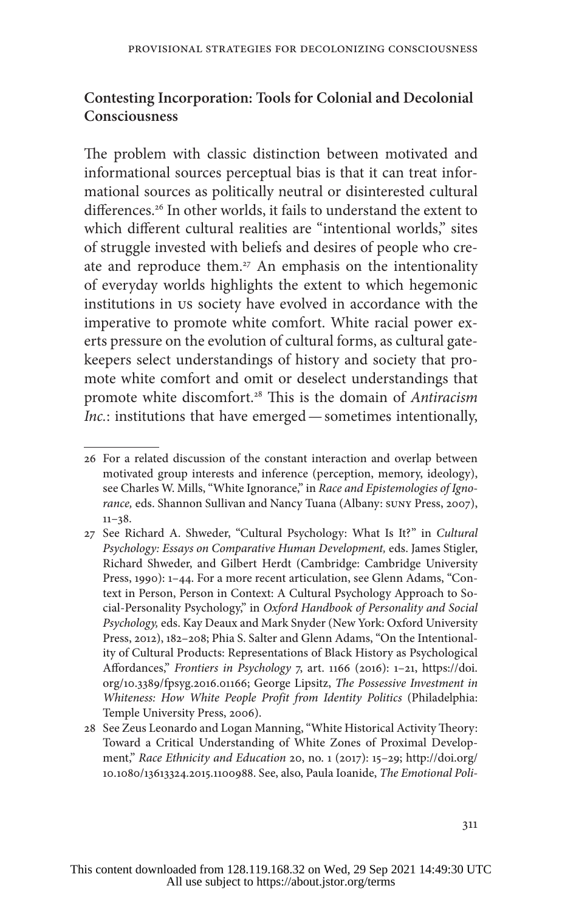# **Contesting Incorporation: Tools for Colonial and Decolonial Consciousness**

The problem with classic distinction between motivated and informational sources perceptual bias is that it can treat informational sources as politically neutral or disinterested cultural differences.<sup>26</sup> In other worlds, it fails to understand the extent to which different cultural realities are "intentional worlds," sites of struggle invested with beliefs and desires of people who create and reproduce them.<sup>27</sup> An emphasis on the intentionality of everyday worlds highlights the extent to which hegemonic institutions in US society have evolved in accordance with the imperative to promote white comfort. White racial power exerts pressure on the evolution of cultural forms, as cultural gatekeepers select understandings of history and society that promote white comfort and omit or deselect understandings that promote white discomfort.28 This is the domain of *Antiracism Inc.*: institutions that have emerged—sometimes intentionally,

<sup>26</sup> For a related discussion of the constant interaction and overlap between motivated group interests and inference (perception, memory, ideology), see Charles W. Mills, "White Ignorance," in *Race and Epistemologies of Ignorance,* eds. Shannon Sullivan and Nancy Tuana (Albany: SUNY Press, 2007),  $11-38.$ 

<sup>27</sup> See Richard A. Shweder, "Cultural Psychology: What Is It?" in *Cultural Psychology: Essays on Comparative Human Development,* eds. James Stigler, Richard Shweder, and Gilbert Herdt (Cambridge: Cambridge University Press, 1990): 1–44. For a more recent articulation, see Glenn Adams, "Context in Person, Person in Context: A Cultural Psychology Approach to Social-Personality Psychology," in *Oxford Handbook of Personality and Social Psychology,* eds. Kay Deaux and Mark Snyder (New York: Oxford University Press, 2012), 182–208; Phia S. Salter and Glenn Adams, "On the Intentionality of Cultural Products: Representations of Black History as Psychological Affordances," *Frontiers in Psychology* 7, art. 1166 (2016): 1–21, https://doi. org/10.3389/fpsyg.2016.01166; George Lipsitz, *The Possessive Investment in Whiteness: How White People Profit from Identity Politics* (Philadelphia: Temple University Press, 2006).

<sup>28</sup> See Zeus Leonardo and Logan Manning, "White Historical Activity Theory: Toward a Critical Understanding of White Zones of Proximal Development," *Race Ethnicity and Education* 20, no. 1 (2017): 15–29; http://doi.org/ 10.1080/13613324.2015.1100988. See, also, Paula Ioanide, *The Emotional Poli-*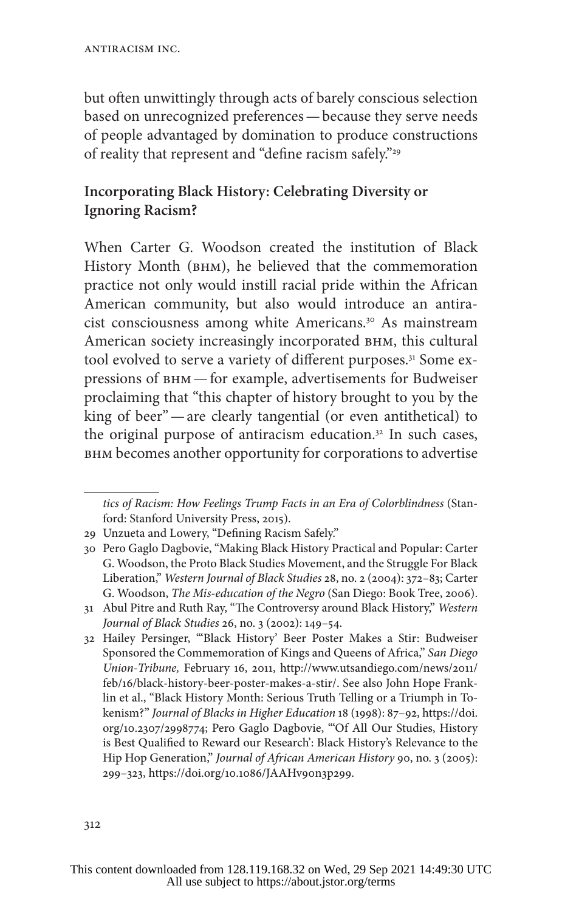antiracism inc.

but often unwittingly through acts of barely conscious selection based on unrecognized preferences—because they serve needs of people advantaged by domination to produce constructions of reality that represent and "define racism safely."<sup>29</sup>

# **Incorporating Black History: Celebrating Diversity or Ignoring Racism?**

When Carter G. Woodson created the institution of Black History Month (BHM), he believed that the commemoration practice not only would instill racial pride within the African American community, but also would introduce an antiracist consciousness among white Americans.30 As mainstream American society increasingly incorporated BHM, this cultural tool evolved to serve a variety of different purposes.<sup>31</sup> Some expressions of BHM—for example, advertisements for Budweiser proclaiming that "this chapter of history brought to you by the king of beer"—are clearly tangential (or even antithetical) to the original purpose of antiracism education.<sup>32</sup> In such cases, BHM becomes another opportunity for corporations to advertise

*tics of Racism: How Feelings Trump Facts in an Era of Colorblindness* (Stanford: Stanford University Press, 2015).

<sup>29</sup> Unzueta and Lowery, "Defining Racism Safely."

<sup>30</sup> Pero Gaglo Dagbovie, "Making Black History Practical and Popular: Carter G. Woodson, the Proto Black Studies Movement, and the Struggle For Black Liberation," *Western Journal of Black Studies* 28, no. 2 (2004): 372–83; Carter G. Woodson, *The Mis-education of the Negro* (San Diego: Book Tree, 2006).

<sup>31</sup> Abul Pitre and Ruth Ray, "The Controversy around Black History," *Western Journal of Black Studies* 26, no. 3 (2002): 149–54.

<sup>32</sup> Hailey Persinger, "'Black History' Beer Poster Makes a Stir: Budweiser Sponsored the Commemoration of Kings and Queens of Africa," *San Diego Union-Tribune,* February 16, 2011, http://www.utsandiego.com/news/2011/ feb/16/black-history-beer-poster-makes-a-stir/. See also John Hope Franklin et al., "Black History Month: Serious Truth Telling or a Triumph in Tokenism?" *Journal of Blacks in Higher Education* 18 (1998): 87–92, https://doi. org/10.2307/2998774; Pero Gaglo Dagbovie, "'Of All Our Studies, History is Best Qualified to Reward our Research': Black History's Relevance to the Hip Hop Generation," *Journal of African American History* 90, no. 3 (2005): 299–323, https://doi.org/10.1086/JAAHv90n3p299.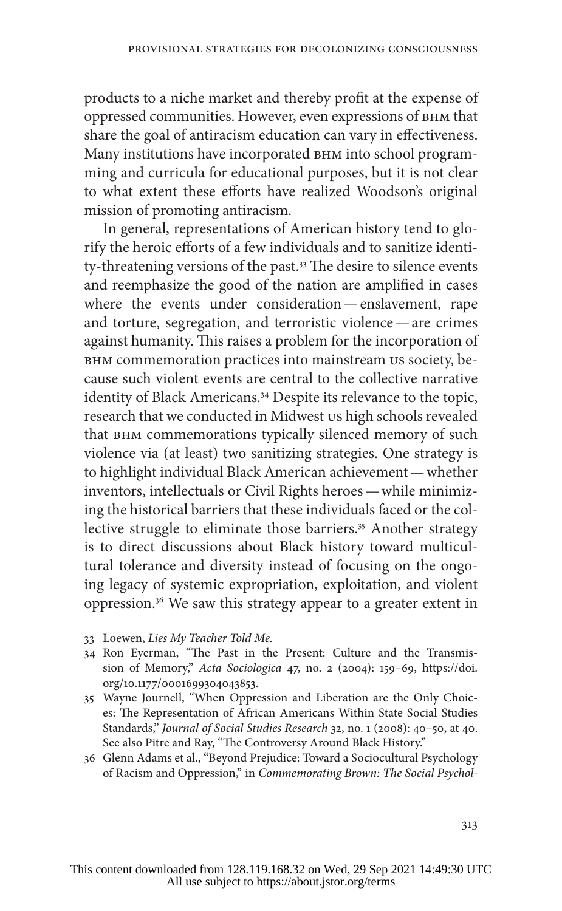products to a niche market and thereby profit at the expense of oppressed communities. However, even expressions of BHM that share the goal of antiracism education can vary in effectiveness. Many institutions have incorporated BHM into school programming and curricula for educational purposes, but it is not clear to what extent these efforts have realized Woodson's original mission of promoting antiracism.

In general, representations of American history tend to glorify the heroic efforts of a few individuals and to sanitize identity-threatening versions of the past.<sup>33</sup> The desire to silence events and reemphasize the good of the nation are amplified in cases where the events under consideration—enslavement, rape and torture, segregation, and terroristic violence—are crimes against humanity. This raises a problem for the incorporation of BHM commemoration practices into mainstream us society, because such violent events are central to the collective narrative identity of Black Americans.34 Despite its relevance to the topic, research that we conducted in Midwest US high schools revealed that BHM commemorations typically silenced memory of such violence via (at least) two sanitizing strategies. One strategy is to highlight individual Black American achievement—whether inventors, intellectuals or Civil Rights heroes—while minimizing the historical barriers that these individuals faced or the collective struggle to eliminate those barriers.<sup>35</sup> Another strategy is to direct discussions about Black history toward multicultural tolerance and diversity instead of focusing on the ongoing legacy of systemic expropriation, exploitation, and violent oppression.36 We saw this strategy appear to a greater extent in

<sup>33</sup> Loewen, *Lies My Teacher Told Me.*

<sup>34</sup> Ron Eyerman, "The Past in the Present: Culture and the Transmission of Memory," *Acta Sociologica* 47, no. 2 (2004): 159–69, https://doi. org/10.1177/0001699304043853.

<sup>35</sup> Wayne Journell, "When Oppression and Liberation are the Only Choices: The Representation of African Americans Within State Social Studies Standards," *Journal of Social Studies Research* 32, no. 1 (2008): 40–50, at 40. See also Pitre and Ray, "The Controversy Around Black History."

<sup>36</sup> Glenn Adams et al., "Beyond Prejudice: Toward a Sociocultural Psychology of Racism and Oppression," in *Commemorating Brown: The Social Psychol-*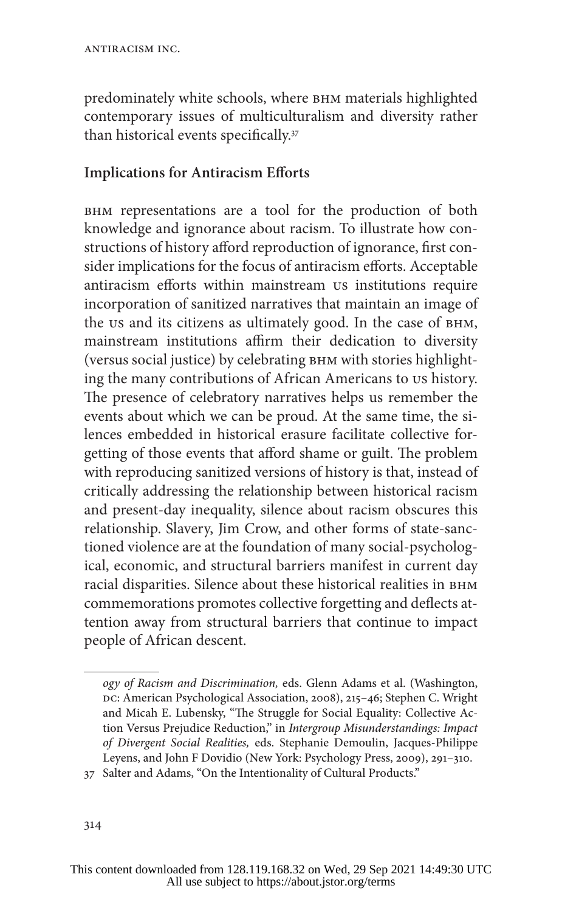predominately white schools, where BHM materials highlighted contemporary issues of multiculturalism and diversity rather than historical events specifically.<sup>37</sup>

## **Implications for Antiracism Efforts**

BHM representations are a tool for the production of both knowledge and ignorance about racism. To illustrate how constructions of history afford reproduction of ignorance, first consider implications for the focus of antiracism efforts. Acceptable antiracism efforts within mainstream us institutions require incorporation of sanitized narratives that maintain an image of the US and its citizens as ultimately good. In the case of BHM, mainstream institutions affirm their dedication to diversity (versus social justice) by celebrating BHM with stories highlighting the many contributions of African Americans to US history. The presence of celebratory narratives helps us remember the events about which we can be proud. At the same time, the silences embedded in historical erasure facilitate collective forgetting of those events that afford shame or guilt. The problem with reproducing sanitized versions of history is that, instead of critically addressing the relationship between historical racism and present-day inequality, silence about racism obscures this relationship. Slavery, Jim Crow, and other forms of state-sanctioned violence are at the foundation of many social-psychological, economic, and structural barriers manifest in current day racial disparities. Silence about these historical realities in BHM commemorations promotes collective forgetting and deflects attention away from structural barriers that continue to impact people of African descent.

*ogy of Racism and Discrimination,* eds. Glenn Adams et al. (Washington, DC: American Psychological Association, 2008), 215–46; Stephen C. Wright and Micah E. Lubensky, "The Struggle for Social Equality: Collective Action Versus Prejudice Reduction," in *Intergroup Misunderstandings: Impact of Divergent Social Realities,* eds. Stephanie Demoulin, Jacques-Philippe Leyens, and John F Dovidio (New York: Psychology Press, 2009), 291–310.

<sup>37</sup> Salter and Adams, "On the Intentionality of Cultural Products."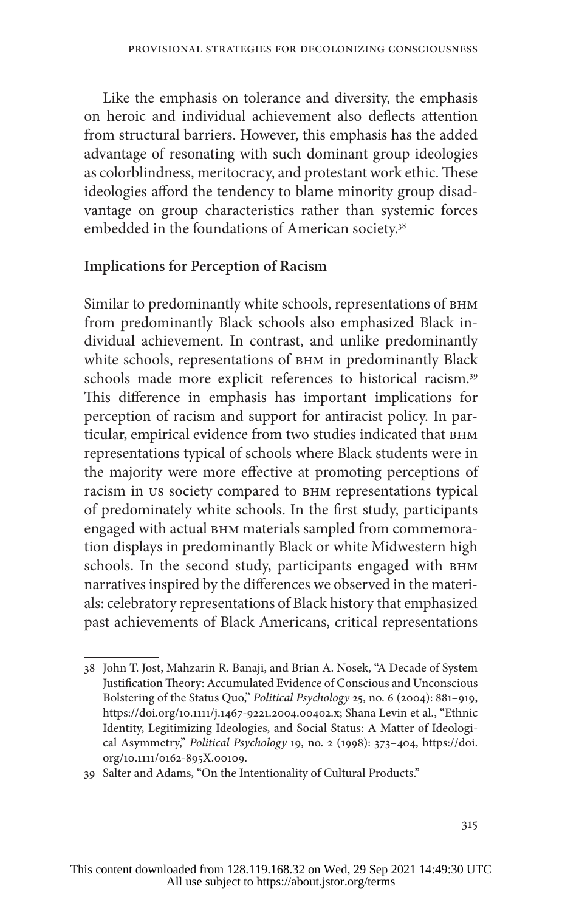Like the emphasis on tolerance and diversity, the emphasis on heroic and individual achievement also deflects attention from structural barriers. However, this emphasis has the added advantage of resonating with such dominant group ideologies as colorblindness, meritocracy, and protestant work ethic. These ideologies afford the tendency to blame minority group disadvantage on group characteristics rather than systemic forces embedded in the foundations of American society.<sup>38</sup>

### **Implications for Perception of Racism**

Similar to predominantly white schools, representations of BHM from predominantly Black schools also emphasized Black individual achievement. In contrast, and unlike predominantly white schools, representations of BHM in predominantly Black schools made more explicit references to historical racism.39 This difference in emphasis has important implications for perception of racism and support for antiracist policy. In particular, empirical evidence from two studies indicated that BHM representations typical of schools where Black students were in the majority were more effective at promoting perceptions of racism in US society compared to BHM representations typical of predominately white schools. In the first study, participants engaged with actual BHM materials sampled from commemoration displays in predominantly Black or white Midwestern high schools. In the second study, participants engaged with BHM narratives inspired by the differences we observed in the materials: celebratory representations of Black history that emphasized past achievements of Black Americans, critical representations

<sup>38</sup> John T. Jost, Mahzarin R. Banaji, and Brian A. Nosek, "A Decade of System Justification Theory: Accumulated Evidence of Conscious and Unconscious Bolstering of the Status Quo," *Political Psychology* 25, no. 6 (2004): 881–919, https://doi.org/10.1111/j.1467-9221.2004.00402.x; Shana Levin et al., "Ethnic Identity, Legitimizing Ideologies, and Social Status: A Matter of Ideological Asymmetry," *Political Psychology* 19, no. 2 (1998): 373–404, https://doi. org/10.1111/0162-895X.00109.

<sup>39</sup> Salter and Adams, "On the Intentionality of Cultural Products."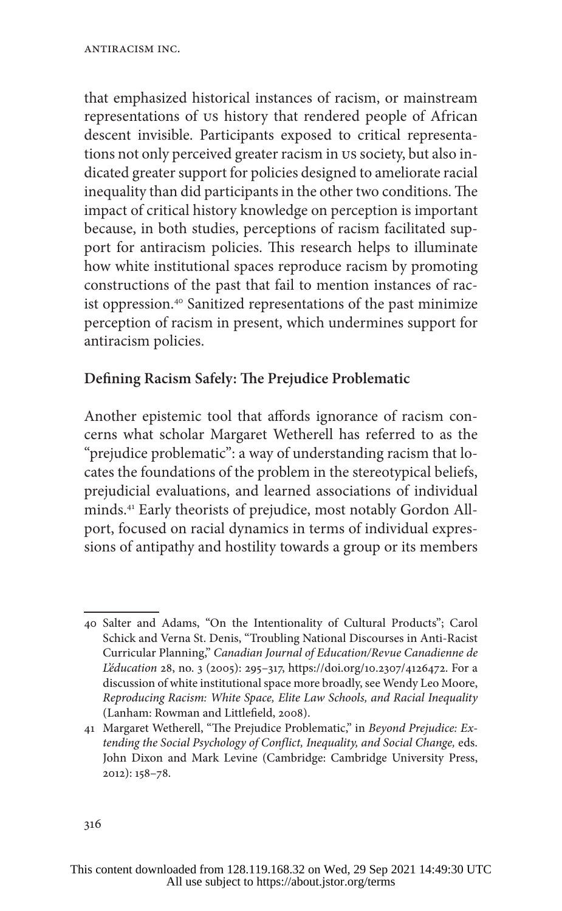that emphasized historical instances of racism, or mainstream representations of US history that rendered people of African descent invisible. Participants exposed to critical representations not only perceived greater racism in US society, but also indicated greater support for policies designed to ameliorate racial inequality than did participants in the other two conditions. The impact of critical history knowledge on perception is important because, in both studies, perceptions of racism facilitated support for antiracism policies. This research helps to illuminate how white institutional spaces reproduce racism by promoting constructions of the past that fail to mention instances of racist oppression.40 Sanitized representations of the past minimize perception of racism in present, which undermines support for antiracism policies.

## **Defining Racism Safely: The Prejudice Problematic**

Another epistemic tool that affords ignorance of racism concerns what scholar Margaret Wetherell has referred to as the "prejudice problematic": a way of understanding racism that locates the foundations of the problem in the stereotypical beliefs, prejudicial evaluations, and learned associations of individual minds.41 Early theorists of prejudice, most notably Gordon Allport, focused on racial dynamics in terms of individual expressions of antipathy and hostility towards a group or its members

<sup>40</sup> Salter and Adams, "On the Intentionality of Cultural Products"; Carol Schick and Verna St. Denis, "Troubling National Discourses in Anti-Racist Curricular Planning," *Canadian Journal of Education/Revue Canadienne de L'éducation* 28, no. 3 (2005): 295–317, https://doi.org/10.2307/4126472. For a discussion of white institutional space more broadly, see Wendy Leo Moore, *Reproducing Racism: White Space, Elite Law Schools, and Racial Inequality*  (Lanham: Rowman and Littlefield, 2008).

<sup>41</sup> Margaret Wetherell, "The Prejudice Problematic," in *Beyond Prejudice: Extending the Social Psychology of Conflict, Inequality, and Social Change,* eds. John Dixon and Mark Levine (Cambridge: Cambridge University Press, 2012): 158–78.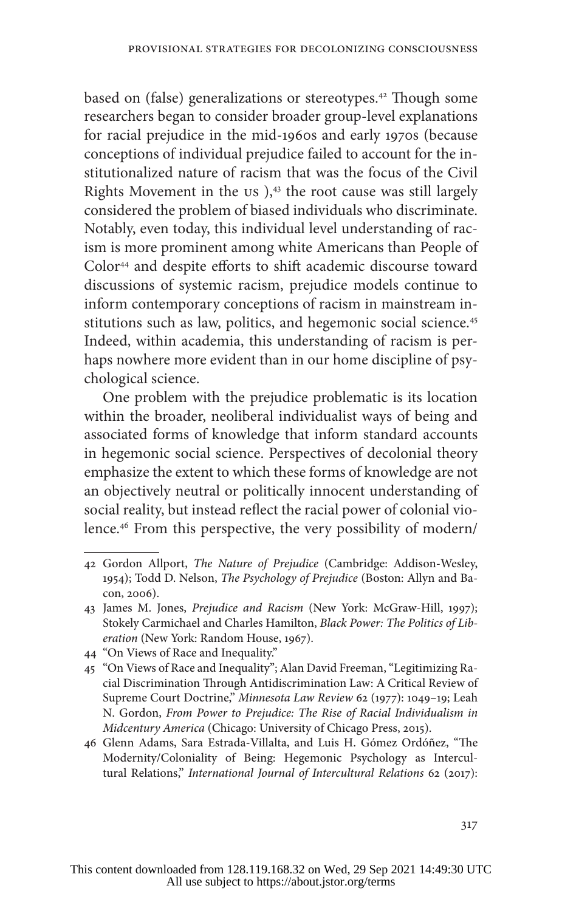based on (false) generalizations or stereotypes.<sup>42</sup> Though some researchers began to consider broader group-level explanations for racial prejudice in the mid-1960s and early 1970s (because conceptions of individual prejudice failed to account for the institutionalized nature of racism that was the focus of the Civil Rights Movement in the US ),<sup>43</sup> the root cause was still largely considered the problem of biased individuals who discriminate. Notably, even today, this individual level understanding of racism is more prominent among white Americans than People of Color<sup>44</sup> and despite efforts to shift academic discourse toward discussions of systemic racism, prejudice models continue to inform contemporary conceptions of racism in mainstream institutions such as law, politics, and hegemonic social science.<sup>45</sup> Indeed, within academia, this understanding of racism is perhaps nowhere more evident than in our home discipline of psychological science.

One problem with the prejudice problematic is its location within the broader, neoliberal individualist ways of being and associated forms of knowledge that inform standard accounts in hegemonic social science. Perspectives of decolonial theory emphasize the extent to which these forms of knowledge are not an objectively neutral or politically innocent understanding of social reality, but instead reflect the racial power of colonial violence.46 From this perspective, the very possibility of modern/

- 44 "On Views of Race and Inequality."
- 45 "On Views of Race and Inequality"; Alan David Freeman, "Legitimizing Racial Discrimination Through Antidiscrimination Law: A Critical Review of Supreme Court Doctrine," *Minnesota Law Review* 62 (1977): 1049–19; Leah N. Gordon, *From Power to Prejudice: The Rise of Racial Individualism in Midcentury America* (Chicago: University of Chicago Press, 2015).
- 46 Glenn Adams, Sara Estrada-Villalta, and Luis H. Gómez Ordóñez, "The Modernity/Coloniality of Being: Hegemonic Psychology as Intercultural Relations," *International Journal of Intercultural Relations* 62 (2017):

<sup>42</sup> Gordon Allport, *The Nature of Prejudice* (Cambridge: Addison-Wesley, 1954); Todd D. Nelson, *The Psychology of Prejudice* (Boston: Allyn and Bacon, 2006).

<sup>43</sup> James M. Jones, *Prejudice and Racism* (New York: McGraw-Hill, 1997); Stokely Carmichael and Charles Hamilton, *Black Power: The Politics of Liberation* (New York: Random House, 1967).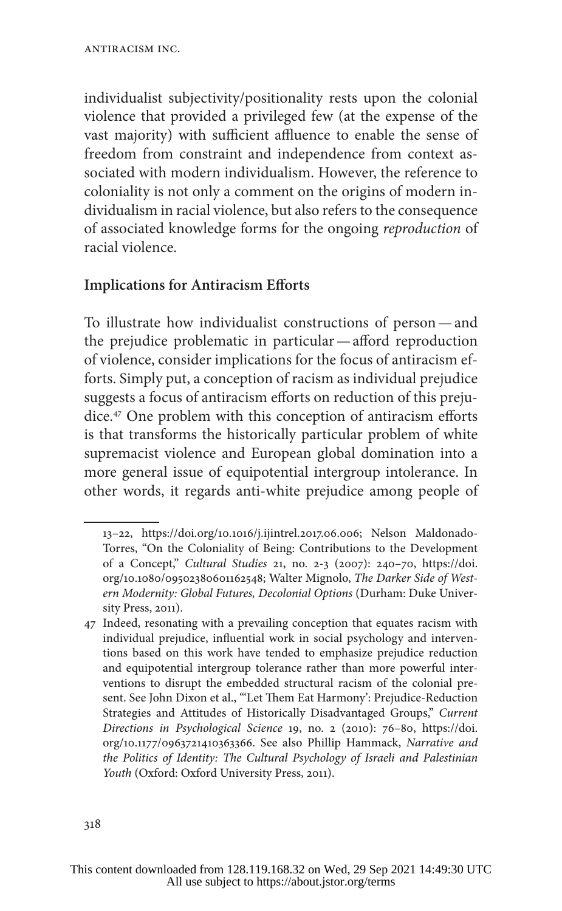individualist subjectivity/positionality rests upon the colonial violence that provided a privileged few (at the expense of the vast majority) with sufficient affluence to enable the sense of freedom from constraint and independence from context associated with modern individualism. However, the reference to coloniality is not only a comment on the origins of modern individualism in racial violence, but also refers to the consequence of associated knowledge forms for the ongoing *reproduction* of racial violence.

## **Implications for Antiracism Efforts**

To illustrate how individualist constructions of person—and the prejudice problematic in particular—afford reproduction of violence, consider implications for the focus of antiracism efforts. Simply put, a conception of racism as individual prejudice suggests a focus of antiracism efforts on reduction of this prejudice.<sup>47</sup> One problem with this conception of antiracism efforts is that transforms the historically particular problem of white supremacist violence and European global domination into a more general issue of equipotential intergroup intolerance. In other words, it regards anti-white prejudice among people of

<sup>13–22,</sup> https://doi.org/10.1016/j.ijintrel.2017.06.006; Nelson Maldonado-Torres, "On the Coloniality of Being: Contributions to the Development of a Concept," *Cultural Studies* 21, no. 2-3 (2007): 240–70, https://doi. org/10.1080/09502380601162548; Walter Mignolo, *The Darker Side of Western Modernity: Global Futures, Decolonial Options* (Durham: Duke University Press, 2011).

<sup>47</sup> Indeed, resonating with a prevailing conception that equates racism with individual prejudice, influential work in social psychology and interventions based on this work have tended to emphasize prejudice reduction and equipotential intergroup tolerance rather than more powerful interventions to disrupt the embedded structural racism of the colonial present. See John Dixon et al., "'Let Them Eat Harmony': Prejudice-Reduction Strategies and Attitudes of Historically Disadvantaged Groups," *Current Directions in Psychological Science* 19, no. 2 (2010): 76–80, https://doi. org/10.1177/0963721410363366. See also Phillip Hammack, *Narrative and the Politics of Identity: The Cultural Psychology of Israeli and Palestinian Youth* (Oxford: Oxford University Press, 2011).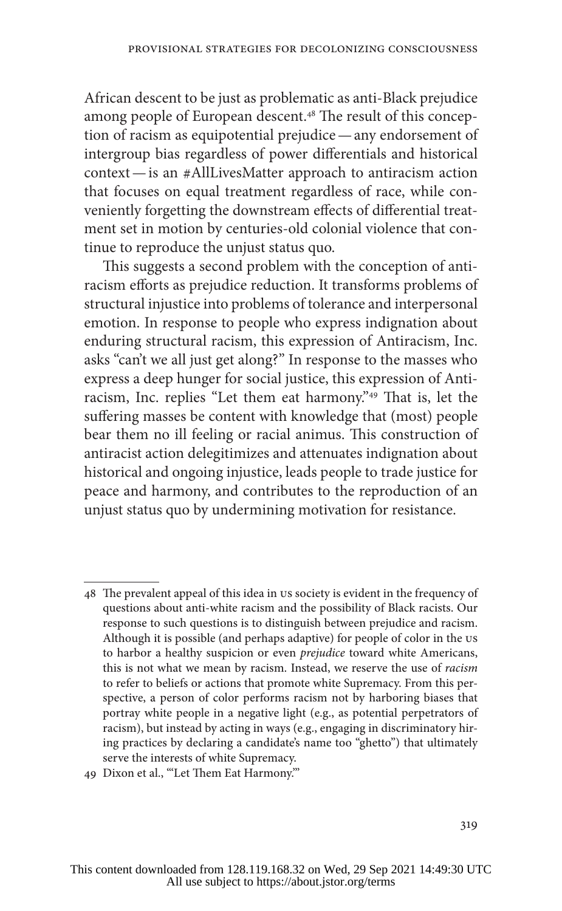African descent to be just as problematic as anti-Black prejudice among people of European descent.<sup>48</sup> The result of this conception of racism as equipotential prejudice—any endorsement of intergroup bias regardless of power differentials and historical context—is an #AllLivesMatter approach to antiracism action that focuses on equal treatment regardless of race, while conveniently forgetting the downstream effects of differential treatment set in motion by centuries-old colonial violence that continue to reproduce the unjust status quo.

This suggests a second problem with the conception of antiracism efforts as prejudice reduction. It transforms problems of structural injustice into problems of tolerance and interpersonal emotion. In response to people who express indignation about enduring structural racism, this expression of Antiracism, Inc. asks "can't we all just get along?" In response to the masses who express a deep hunger for social justice, this expression of Antiracism, Inc. replies "Let them eat harmony."49 That is, let the suffering masses be content with knowledge that (most) people bear them no ill feeling or racial animus. This construction of antiracist action delegitimizes and attenuates indignation about historical and ongoing injustice, leads people to trade justice for peace and harmony, and contributes to the reproduction of an unjust status quo by undermining motivation for resistance.

<sup>48</sup> The prevalent appeal of this idea in US society is evident in the frequency of questions about anti-white racism and the possibility of Black racists. Our response to such questions is to distinguish between prejudice and racism. Although it is possible (and perhaps adaptive) for people of color in the US to harbor a healthy suspicion or even *prejudice* toward white Americans, this is not what we mean by racism. Instead, we reserve the use of *racism* to refer to beliefs or actions that promote white Supremacy. From this perspective, a person of color performs racism not by harboring biases that portray white people in a negative light (e.g., as potential perpetrators of racism), but instead by acting in ways (e.g., engaging in discriminatory hiring practices by declaring a candidate's name too "ghetto") that ultimately serve the interests of white Supremacy.

<sup>49</sup> Dixon et al., "'Let Them Eat Harmony.'"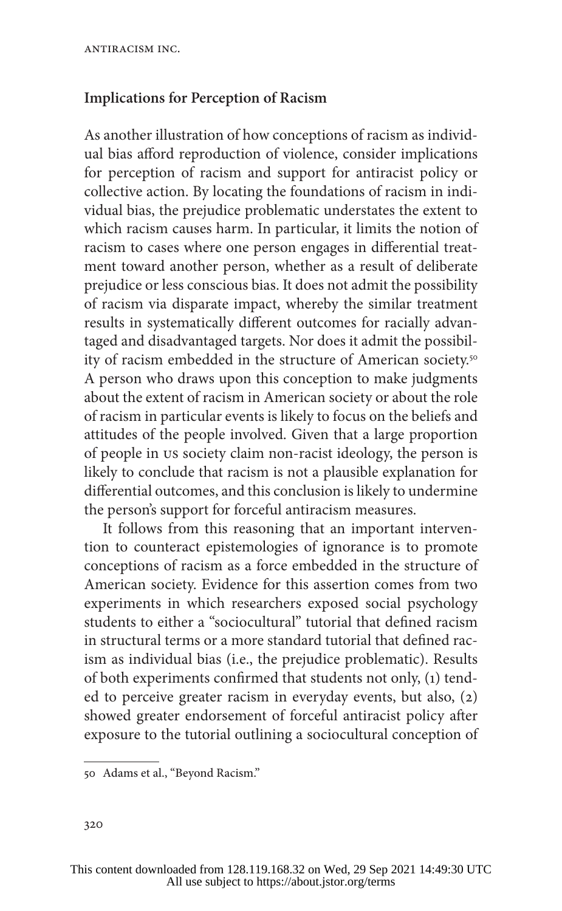#### **Implications for Perception of Racism**

As another illustration of how conceptions of racism as individual bias afford reproduction of violence, consider implications for perception of racism and support for antiracist policy or collective action. By locating the foundations of racism in individual bias, the prejudice problematic understates the extent to which racism causes harm. In particular, it limits the notion of racism to cases where one person engages in differential treatment toward another person, whether as a result of deliberate prejudice or less conscious bias. It does not admit the possibility of racism via disparate impact, whereby the similar treatment results in systematically different outcomes for racially advantaged and disadvantaged targets. Nor does it admit the possibility of racism embedded in the structure of American society.<sup>50</sup> A person who draws upon this conception to make judgments about the extent of racism in American society or about the role of racism in particular events is likely to focus on the beliefs and attitudes of the people involved. Given that a large proportion of people in US society claim non-racist ideology, the person is likely to conclude that racism is not a plausible explanation for differential outcomes, and this conclusion is likely to undermine the person's support for forceful antiracism measures.

It follows from this reasoning that an important intervention to counteract epistemologies of ignorance is to promote conceptions of racism as a force embedded in the structure of American society. Evidence for this assertion comes from two experiments in which researchers exposed social psychology students to either a "sociocultural" tutorial that defined racism in structural terms or a more standard tutorial that defined racism as individual bias (i.e., the prejudice problematic). Results of both experiments confirmed that students not only, (1) tended to perceive greater racism in everyday events, but also, (2) showed greater endorsement of forceful antiracist policy after exposure to the tutorial outlining a sociocultural conception of

<sup>50</sup> Adams et al., "Beyond Racism."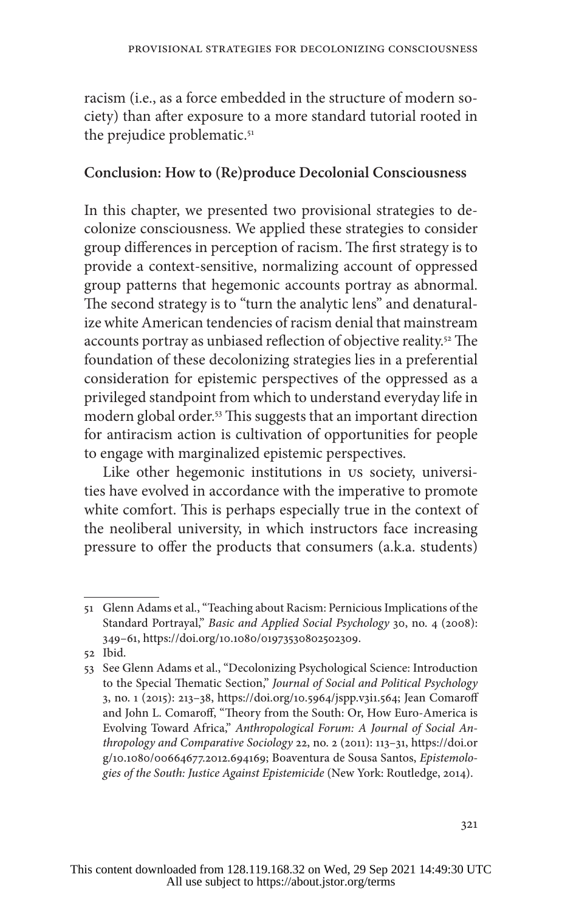racism (i.e., as a force embedded in the structure of modern society) than after exposure to a more standard tutorial rooted in the prejudice problematic.<sup>51</sup>

#### **Conclusion: How to (Re)produce Decolonial Consciousness**

In this chapter, we presented two provisional strategies to decolonize consciousness. We applied these strategies to consider group differences in perception of racism. The first strategy is to provide a context-sensitive, normalizing account of oppressed group patterns that hegemonic accounts portray as abnormal. The second strategy is to "turn the analytic lens" and denaturalize white American tendencies of racism denial that mainstream accounts portray as unbiased reflection of objective reality.<sup>52</sup> The foundation of these decolonizing strategies lies in a preferential consideration for epistemic perspectives of the oppressed as a privileged standpoint from which to understand everyday life in modern global order.53 This suggests that an important direction for antiracism action is cultivation of opportunities for people to engage with marginalized epistemic perspectives.

Like other hegemonic institutions in US society, universities have evolved in accordance with the imperative to promote white comfort. This is perhaps especially true in the context of the neoliberal university, in which instructors face increasing pressure to offer the products that consumers (a.k.a. students)

52 Ibid.

<sup>51</sup> Glenn Adams et al., "Teaching about Racism: Pernicious Implications of the Standard Portrayal," *Basic and Applied Social Psychology* 30, no. 4 (2008): 349–61, https://doi.org/10.1080/01973530802502309.

<sup>53</sup> See Glenn Adams et al., "Decolonizing Psychological Science: Introduction to the Special Thematic Section," *Journal of Social and Political Psychology*  3, no. 1 (2015): 213–38, https://doi.org/10.5964/jspp.v3i1.564; Jean Comaroff and John L. Comaroff, "Theory from the South: Or, How Euro-America is Evolving Toward Africa," *Anthropological Forum: A Journal of Social Anthropology and Comparative Sociology* 22, no. 2 (2011): 113–31, https://doi.or g/10.1080/00664677.2012.694169; Boaventura de Sousa Santos, *Epistemologies of the South: Justice Against Epistemicide* (New York: Routledge, 2014).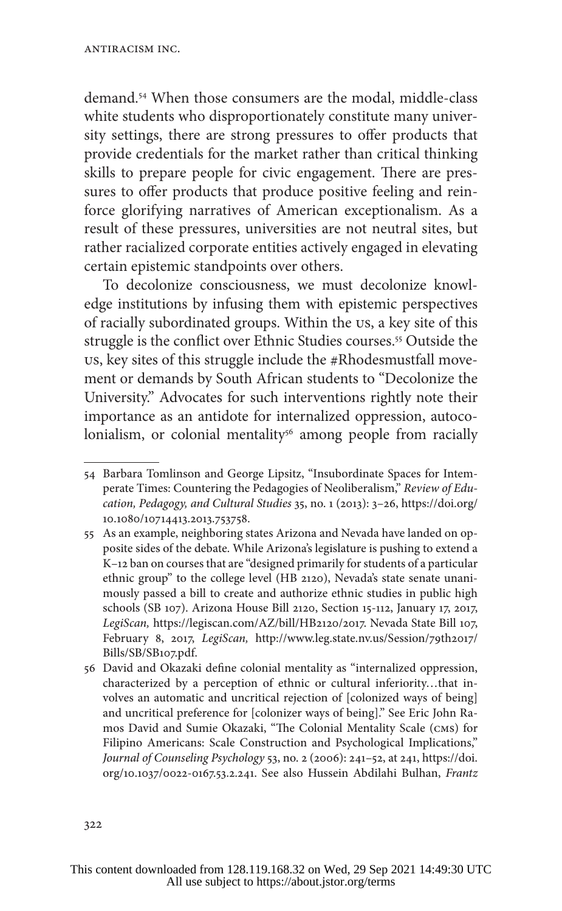demand.54 When those consumers are the modal, middle-class white students who disproportionately constitute many university settings, there are strong pressures to offer products that provide credentials for the market rather than critical thinking skills to prepare people for civic engagement. There are pressures to offer products that produce positive feeling and reinforce glorifying narratives of American exceptionalism. As a result of these pressures, universities are not neutral sites, but rather racialized corporate entities actively engaged in elevating certain epistemic standpoints over others.

To decolonize consciousness, we must decolonize knowledge institutions by infusing them with epistemic perspectives of racially subordinated groups. Within the US, a key site of this struggle is the conflict over Ethnic Studies courses.<sup>55</sup> Outside the US, key sites of this struggle include the #Rhodesmustfall movement or demands by South African students to "Decolonize the University." Advocates for such interventions rightly note their importance as an antidote for internalized oppression, autocolonialism, or colonial mentality<sup>56</sup> among people from racially

<sup>54</sup> Barbara Tomlinson and George Lipsitz, "Insubordinate Spaces for Intemperate Times: Countering the Pedagogies of Neoliberalism," *Review of Education, Pedagogy, and Cultural Studies* 35, no. 1 (2013): 3–26, https://doi.org/ 10.1080/10714413.2013.753758.

<sup>55</sup> As an example, neighboring states Arizona and Nevada have landed on opposite sides of the debate. While Arizona's legislature is pushing to extend a K–12 ban on courses that are "designed primarily for students of a particular ethnic group" to the college level (HB 2120), Nevada's state senate unanimously passed a bill to create and authorize ethnic studies in public high schools (SB 107). Arizona House Bill 2120, Section 15-112, January 17, 2017, *LegiScan,* https://legiscan.com/AZ/bill/HB2120/2017. Nevada State Bill 107, February 8, 2017, *LegiScan,* http://www.leg.state.nv.us/Session/79th2017/ Bills/SB/SB107.pdf.

<sup>56</sup> David and Okazaki define colonial mentality as "internalized oppression, characterized by a perception of ethnic or cultural inferiority…that involves an automatic and uncritical rejection of [colonized ways of being] and uncritical preference for [colonizer ways of being]." See Eric John Ramos David and Sumie Okazaki, "The Colonial Mentality Scale (CMS) for Filipino Americans: Scale Construction and Psychological Implications," *Journal of Counseling Psychology* 53, no. 2 (2006): 241–52, at 241, https://doi. org/10.1037/0022-0167.53.2.241. See also Hussein Abdilahi Bulhan, *Frantz*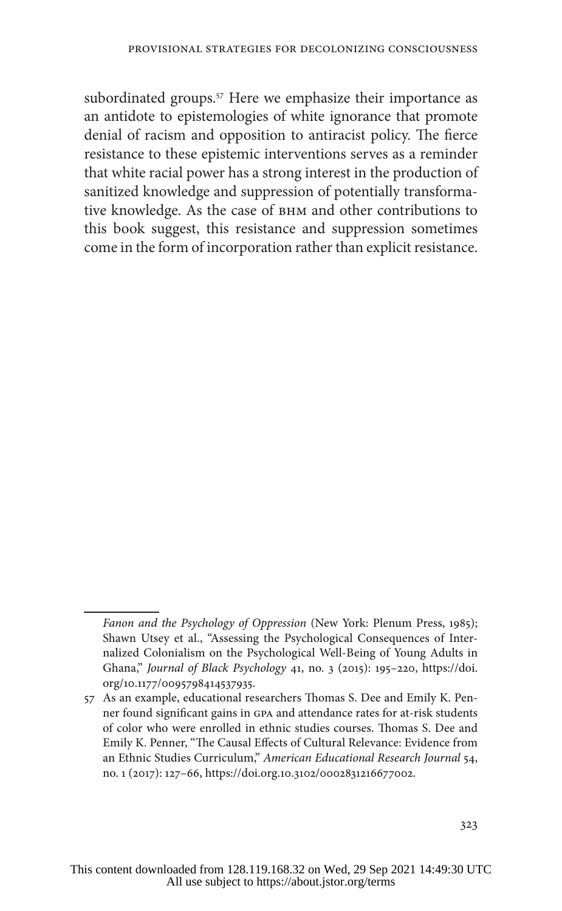subordinated groups.<sup>57</sup> Here we emphasize their importance as an antidote to epistemologies of white ignorance that promote denial of racism and opposition to antiracist policy. The fierce resistance to these epistemic interventions serves as a reminder that white racial power has a strong interest in the production of sanitized knowledge and suppression of potentially transformative knowledge. As the case of BHM and other contributions to this book suggest, this resistance and suppression sometimes come in the form of incorporation rather than explicit resistance.

*Fanon and the Psychology of Oppression* (New York: Plenum Press, 1985); Shawn Utsey et al., "Assessing the Psychological Consequences of Internalized Colonialism on the Psychological Well-Being of Young Adults in Ghana," *Journal of Black Psychology* 41, no. 3 (2015): 195–220, https://doi. org/10.1177/0095798414537935.

<sup>57</sup> As an example, educational researchers Thomas S. Dee and Emily K. Penner found significant gains in GPA and attendance rates for at-risk students of color who were enrolled in ethnic studies courses. Thomas S. Dee and Emily K. Penner, "The Causal Effects of Cultural Relevance: Evidence from an Ethnic Studies Curriculum," *American Educational Research Journal* 54, no. 1 (2017): 127–66, https://doi.org.10.3102/0002831216677002.